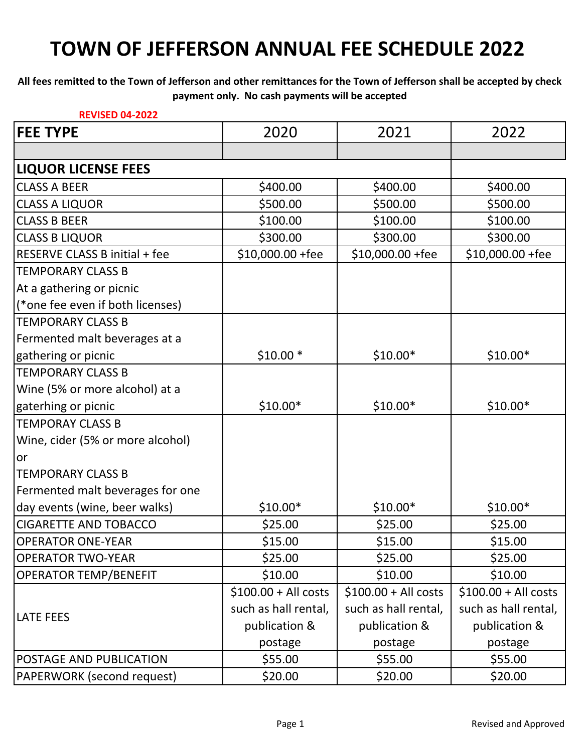#### **All fees remitted to the Town of Jefferson and other remittances for the Town of Jefferson shall be accepted by check payment only. No cash payments will be accepted**

| <b>REVISED 04-2022</b>           |                       |                       |                      |
|----------------------------------|-----------------------|-----------------------|----------------------|
| <b>FEE TYPE</b>                  | 2020                  | 2021                  | 2022                 |
|                                  |                       |                       |                      |
| <b>LIQUOR LICENSE FEES</b>       |                       |                       |                      |
| <b>CLASS A BEER</b>              | \$400.00              | \$400.00              | \$400.00             |
| <b>CLASS A LIQUOR</b>            | \$500.00              | \$500.00              | \$500.00             |
| <b>CLASS B BEER</b>              | \$100.00              | \$100.00              | \$100.00             |
| <b>CLASS B LIQUOR</b>            | \$300.00              | \$300.00              | \$300.00             |
| RESERVE CLASS B initial + fee    | \$10,000.00 +fee      | $$10,000.00 + fee$    | \$10,000.00 +fee     |
| <b>TEMPORARY CLASS B</b>         |                       |                       |                      |
| At a gathering or picnic         |                       |                       |                      |
| (*one fee even if both licenses) |                       |                       |                      |
| <b>ITEMPORARY CLASS B</b>        |                       |                       |                      |
| Fermented malt beverages at a    |                       |                       |                      |
| gathering or picnic              | $$10.00*$             | $$10.00*$             | $$10.00*$            |
| <b>TEMPORARY CLASS B</b>         |                       |                       |                      |
| Wine (5% or more alcohol) at a   |                       |                       |                      |
| gaterhing or picnic              | $$10.00*$             | $$10.00*$             | $$10.00*$            |
| <b>TEMPORAY CLASS B</b>          |                       |                       |                      |
| Wine, cider (5% or more alcohol) |                       |                       |                      |
| or                               |                       |                       |                      |
| <b>TEMPORARY CLASS B</b>         |                       |                       |                      |
| Fermented malt beverages for one |                       |                       |                      |
| day events (wine, beer walks)    | $$10.00*$             | $$10.00*$             | $$10.00*$            |
| <b>CIGARETTE AND TOBACCO</b>     | \$25.00               | \$25.00               | \$25.00              |
| <b>OPERATOR ONE-YEAR</b>         | \$15.00               | \$15.00               | \$15.00              |
| <b>OPERATOR TWO-YEAR</b>         | \$25.00               | \$25.00               | \$25.00              |
| <b>OPERATOR TEMP/BENEFIT</b>     | \$10.00               | \$10.00               | \$10.00              |
|                                  | $$100.00 + All costs$ | $$100.00 + All costs$ | $$100.00 + Al$ costs |
| <b>LATE FEES</b>                 | such as hall rental,  | such as hall rental,  | such as hall rental, |
|                                  | publication &         | publication &         | publication &        |
|                                  | postage               | postage               | postage              |
| <b>POSTAGE AND PUBLICATION</b>   | \$55.00               | \$55.00               | \$55.00              |
| PAPERWORK (second request)       | \$20.00               | \$20.00               | \$20.00              |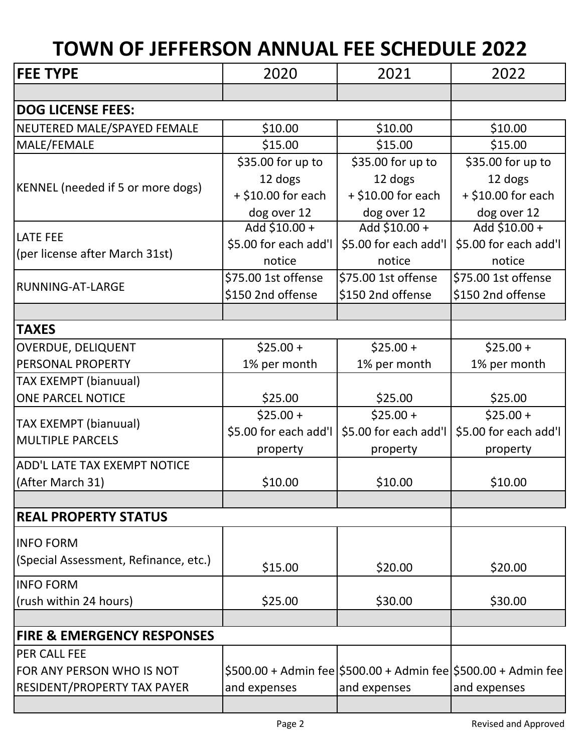| <b>FEE TYPE</b>                          | 2020                  | 2021                  | 2022                                                           |
|------------------------------------------|-----------------------|-----------------------|----------------------------------------------------------------|
|                                          |                       |                       |                                                                |
| <b>DOG LICENSE FEES:</b>                 |                       |                       |                                                                |
| NEUTERED MALE/SPAYED FEMALE              | \$10.00               | \$10.00               | \$10.00                                                        |
| MALE/FEMALE                              | \$15.00               | \$15.00               | \$15.00                                                        |
|                                          | \$35.00 for up to     | \$35.00 for up to     | \$35.00 for up to                                              |
| <b>KENNEL</b> (needed if 5 or more dogs) | 12 dogs               | 12 dogs               | 12 dogs                                                        |
|                                          | $+$ \$10.00 for each  | $+$ \$10.00 for each  | $+$ \$10.00 for each                                           |
|                                          | dog over 12           | dog over 12           | dog over 12                                                    |
| <b>LATE FEE</b>                          | Add \$10.00 +         | Add $$10.00 +$        | Add \$10.00 +                                                  |
| (per license after March 31st)           | \$5.00 for each add'l | \$5.00 for each add'l | \$5.00 for each add'l                                          |
|                                          | notice                | notice                | notice                                                         |
| RUNNING-AT-LARGE                         | \$75.00 1st offense   | \$75.00 1st offense   | \$75.00 1st offense                                            |
|                                          | \$150 2nd offense     | \$150 2nd offense     | \$150 2nd offense                                              |
|                                          |                       |                       |                                                                |
| <b>TAXES</b>                             |                       |                       |                                                                |
| <b>OVERDUE, DELIQUENT</b>                | $$25.00 +$            | $$25.00 +$            | $$25.00+$                                                      |
| PERSONAL PROPERTY                        | 1% per month          | 1% per month          | 1% per month                                                   |
| <b>TAX EXEMPT (bianuual)</b>             |                       |                       |                                                                |
| <b>ONE PARCEL NOTICE</b>                 | \$25.00               | \$25.00               | \$25.00                                                        |
| <b>TAX EXEMPT (bianuual)</b>             | $$25.00 +$            | $$25.00 +$            | $$25.00+$                                                      |
| <b>MULTIPLE PARCELS</b>                  | \$5.00 for each add'l | \$5.00 for each add'l | \$5.00 for each add'l                                          |
|                                          | property              | property              | property                                                       |
| ADD'L LATE TAX EXEMPT NOTICE             |                       |                       |                                                                |
| (After March 31)                         | \$10.00               | \$10.00               | \$10.00                                                        |
|                                          |                       |                       |                                                                |
| <b>REAL PROPERTY STATUS</b>              |                       |                       |                                                                |
| <b>INFO FORM</b>                         |                       |                       |                                                                |
| (Special Assessment, Refinance, etc.)    | \$15.00               | \$20.00               | \$20.00                                                        |
| <b>INFO FORM</b>                         |                       |                       |                                                                |
| (rush within 24 hours)                   | \$25.00               | \$30.00               | \$30.00                                                        |
|                                          |                       |                       |                                                                |
| <b>FIRE &amp; EMERGENCY RESPONSES</b>    |                       |                       |                                                                |
| <b>PER CALL FEE</b>                      |                       |                       |                                                                |
| FOR ANY PERSON WHO IS NOT                |                       |                       | \$500.00 + Admin fee \$500.00 + Admin fee \$500.00 + Admin fee |
| <b>RESIDENT/PROPERTY TAX PAYER</b>       | and expenses          | and expenses          | and expenses                                                   |
|                                          |                       |                       |                                                                |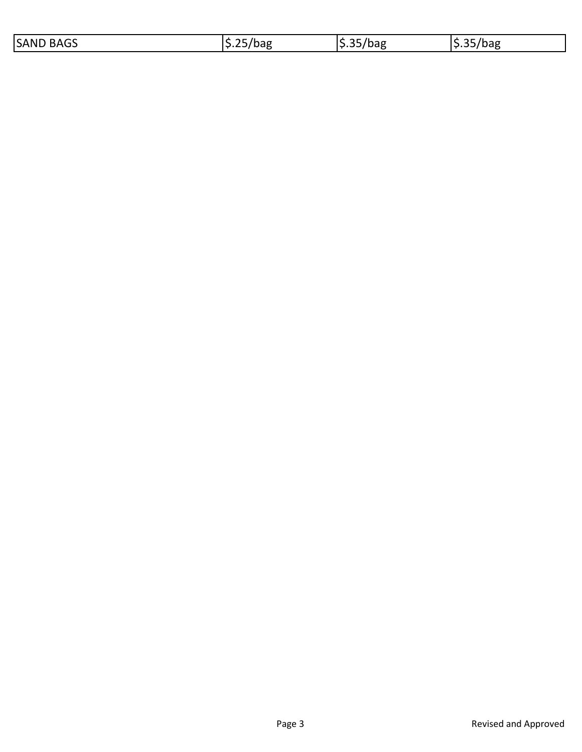| <b>BAGS</b><br>$\sim$ $-$<br><b>SAND</b><br>$-$<br>Dd⊌<br>Jd≿<br>_____ | . .<br>rpag |
|------------------------------------------------------------------------|-------------|
|------------------------------------------------------------------------|-------------|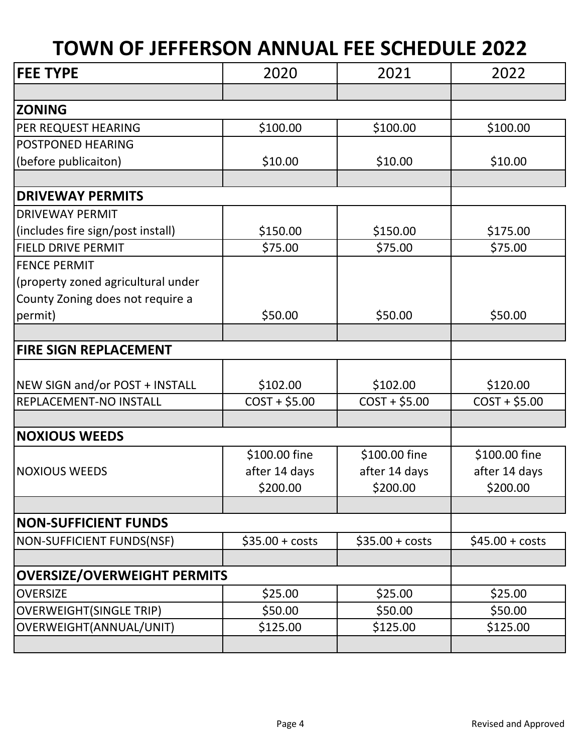| <b>FEE TYPE</b>                    | 2020                       | 2021                      | 2022                      |
|------------------------------------|----------------------------|---------------------------|---------------------------|
|                                    |                            |                           |                           |
| <b>ZONING</b>                      |                            |                           |                           |
| PER REQUEST HEARING                | \$100.00                   | \$100.00                  | \$100.00                  |
| <b>POSTPONED HEARING</b>           |                            |                           |                           |
| (before publicaiton)               | \$10.00                    | \$10.00                   | \$10.00                   |
|                                    |                            |                           |                           |
| <b>DRIVEWAY PERMITS</b>            |                            |                           |                           |
| <b>DRIVEWAY PERMIT</b>             |                            |                           |                           |
| (includes fire sign/post install)  | \$150.00                   | \$150.00                  | \$175.00                  |
| <b>FIELD DRIVE PERMIT</b>          | \$75.00                    | \$75.00                   | \$75.00                   |
| <b>FENCE PERMIT</b>                |                            |                           |                           |
| (property zoned agricultural under |                            |                           |                           |
| County Zoning does not require a   |                            |                           |                           |
| permit)                            | \$50.00                    | \$50.00                   | \$50.00                   |
|                                    |                            |                           |                           |
| <b>FIRE SIGN REPLACEMENT</b>       |                            |                           |                           |
| NEW SIGN and/or POST + INSTALL     |                            | \$102.00                  | \$120.00                  |
| <b>REPLACEMENT-NO INSTALL</b>      | \$102.00<br>$COST + $5.00$ | $COST + $5.00$            | $COST + $5.00$            |
|                                    |                            |                           |                           |
| <b>NOXIOUS WEEDS</b>               |                            |                           |                           |
|                                    |                            |                           |                           |
|                                    | \$100.00 fine              | \$100.00 fine             | \$100.00 fine             |
| <b>NOXIOUS WEEDS</b>               | after 14 days<br>\$200.00  | after 14 days<br>\$200.00 | after 14 days<br>\$200.00 |
|                                    |                            |                           |                           |
| <b>NON-SUFFICIENT FUNDS</b>        |                            |                           |                           |
| NON-SUFFICIENT FUNDS(NSF)          | $$35.00 + costs$           | $$35.00 + costs$          | $$45.00 + costs$          |
|                                    |                            |                           |                           |
| <b>OVERSIZE/OVERWEIGHT PERMITS</b> |                            |                           |                           |
| <b>OVERSIZE</b>                    | \$25.00                    | \$25.00                   | \$25.00                   |
| <b>OVERWEIGHT(SINGLE TRIP)</b>     | \$50.00                    | \$50.00                   | \$50.00                   |
| OVERWEIGHT(ANNUAL/UNIT)            | \$125.00                   | \$125.00                  | \$125.00                  |
|                                    |                            |                           |                           |